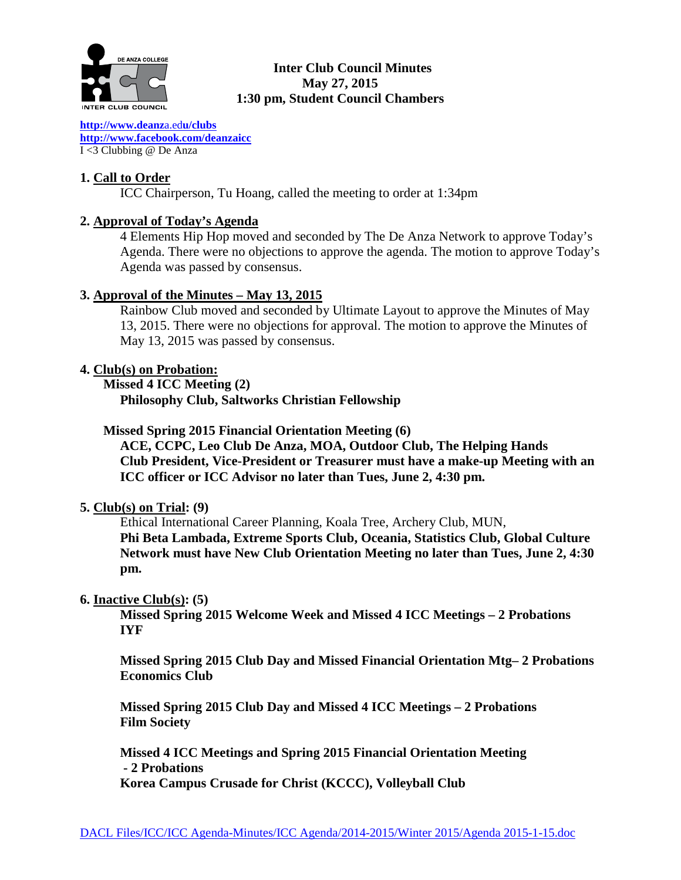

# **Inter Club Council Minutes May 27, 2015 1:30 pm, Student Council Chambers**

**[http://www.deanz](http://www.deanza.edu/clubs)**a.ed**u/clubs [http://www.facebook.com/deanzaicc](http://www.facebook.com/home.php%23!/group.php?gid=59034552686)** I <3 Clubbing @ De Anza

# **1. Call to Order**

ICC Chairperson, Tu Hoang, called the meeting to order at 1:34pm

# **2. Approval of Today's Agenda**

4 Elements Hip Hop moved and seconded by The De Anza Network to approve Today's Agenda. There were no objections to approve the agenda. The motion to approve Today's Agenda was passed by consensus.

# **3. Approval of the Minutes – May 13, 2015**

Rainbow Club moved and seconded by Ultimate Layout to approve the Minutes of May 13, 2015. There were no objections for approval. The motion to approve the Minutes of May 13, 2015 was passed by consensus.

# **4. Club(s) on Probation:**

 **Missed 4 ICC Meeting (2) Philosophy Club, Saltworks Christian Fellowship**

 **Missed Spring 2015 Financial Orientation Meeting (6)**

**ACE, CCPC, Leo Club De Anza, MOA, Outdoor Club, The Helping Hands Club President, Vice-President or Treasurer must have a make-up Meeting with an ICC officer or ICC Advisor no later than Tues, June 2, 4:30 pm.**

# **5. Club(s) on Trial: (9)**

Ethical International Career Planning, Koala Tree, Archery Club, MUN, **Phi Beta Lambada, Extreme Sports Club, Oceania, Statistics Club, Global Culture Network must have New Club Orientation Meeting no later than Tues, June 2, 4:30 pm.**

### **6. Inactive Club(s): (5)**

**Missed Spring 2015 Welcome Week and Missed 4 ICC Meetings – 2 Probations IYF**

**Missed Spring 2015 Club Day and Missed Financial Orientation Mtg– 2 Probations Economics Club**

**Missed Spring 2015 Club Day and Missed 4 ICC Meetings – 2 Probations Film Society**

**Missed 4 ICC Meetings and Spring 2015 Financial Orientation Meeting - 2 Probations**

**Korea Campus Crusade for Christ (KCCC), Volleyball Club**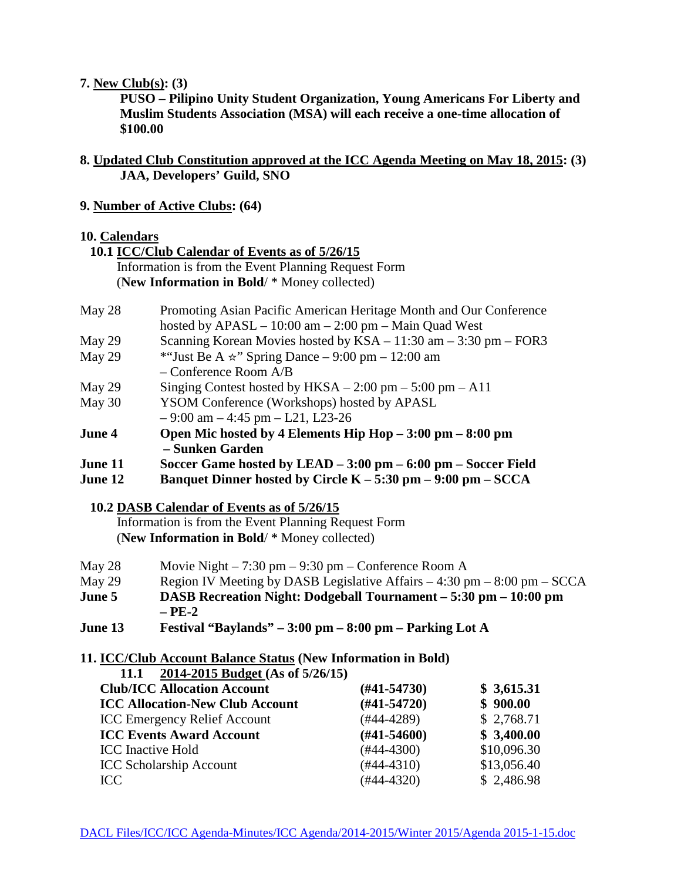#### **7. New Club(s): (3)**

**PUSO – Pilipino Unity Student Organization, Young Americans For Liberty and Muslim Students Association (MSA) will each receive a one-time allocation of \$100.00**

- **8. Updated Club Constitution approved at the ICC Agenda Meeting on May 18, 2015: (3) JAA, Developers' Guild, SNO**
- **9. Number of Active Clubs: (64)**

#### **10. Calendars**

 **10.1 ICC/Club Calendar of Events as of 5/26/15** Information is from the Event Planning Request Form (**New Information in Bold**/ \* Money collected)

| May 28        | Promoting Asian Pacific American Heritage Month and Our Conference           |
|---------------|------------------------------------------------------------------------------|
|               | hosted by $APASL - 10:00$ am $- 2:00$ pm $-$ Main Quad West                  |
| May 29        | Scanning Korean Movies hosted by $KSA - 11:30$ am $- 3:30$ pm $-$ FOR3       |
| May 29        | *"Just Be A $\star$ " Spring Dance – 9:00 pm – 12:00 am                      |
|               | $-$ Conference Room $A/B$                                                    |
| May 29        | Singing Contest hosted by $HKSA - 2:00 \text{ pm} - 5:00 \text{ pm} - A11$   |
| May 30        | YSOM Conference (Workshops) hosted by APASL                                  |
|               | $-9:00$ am $-4:45$ pm $-121$ , L23-26                                        |
| <b>June 4</b> | Open Mic hosted by 4 Elements Hip Hop - 3:00 pm - 8:00 pm                    |
|               | – Sunken Garden                                                              |
| June 11       | Soccer Game hosted by LEAD $-3:00$ pm $-6:00$ pm $-$ Soccer Field            |
| June 12       | Banquet Dinner hosted by Circle $K - 5:30$ pm $- 9:00$ pm $-$ SCCA           |
|               |                                                                              |
|               | 10.2 DASB Calendar of Events as of 5/26/15                                   |
|               | Information is from the Event Planning Request Form                          |
|               | (New Information in Bold/ * Money collected)                                 |
| May 28        | Movie Night $-7:30$ pm $-9:30$ pm $-$ Conference Room A                      |
| May 29        | Region IV Meeting by DASB Legislative Affairs $-4:30$ pm $-8:00$ pm $-$ SCCA |
| June 5        | DASB Recreation Night: Dodgeball Tournament - 5:30 pm - 10:00 pm             |
|               |                                                                              |
|               | – PE-2                                                                       |

**June 13 Festival "Baylands" – 3:00 pm – 8:00 pm – Parking Lot A**

### **11. ICC/Club Account Balance Status (New Information in Bold)**

**11.1 2014-2015 Budget (As of 5/26/15)**

| <b>Club/ICC Allocation Account</b>     | $(H41-54730)$    | \$3,615.31  |
|----------------------------------------|------------------|-------------|
| <b>ICC Allocation-New Club Account</b> | $(#41-54720)$    | \$900.00    |
| <b>ICC Emergency Relief Account</b>    | $(#44-4289)$     | \$2,768.71  |
| <b>ICC Events Award Account</b>        | $(\#41 - 54600)$ | \$3,400.00  |
| <b>ICC</b> Inactive Hold               | $(#44-4300)$     | \$10,096.30 |
| <b>ICC Scholarship Account</b>         | $(#44-4310)$     | \$13,056.40 |
| ICC.                                   | $(#44-4320)$     | \$2,486.98  |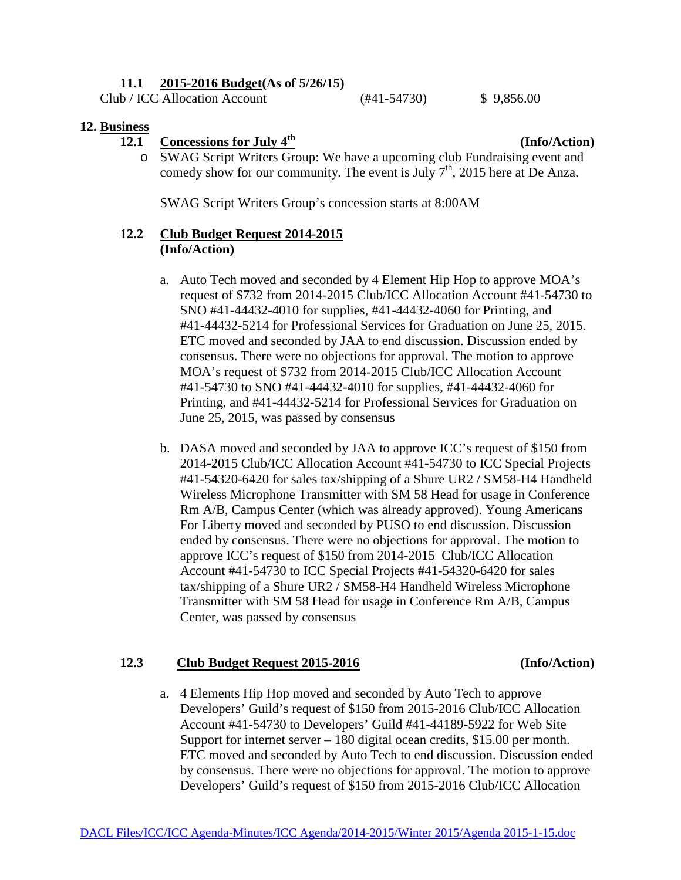### **11.1 2015-2016 Budget(As of 5/26/15)**

Club / ICC Allocation Account (#41-54730) \$ 9,856.00

#### **12. Business**

# **12.1** Concessions for July  $4^{\text{th}}$  (Info/Action)

o SWAG Script Writers Group: We have a upcoming club Fundraising event and comedy show for our community. The event is July  $7<sup>th</sup>$ , 2015 here at De Anza.

SWAG Script Writers Group's concession starts at 8:00AM

### **12.2 Club Budget Request 2014-2015 (Info/Action)**

- a. Auto Tech moved and seconded by 4 Element Hip Hop to approve MOA's request of \$732 from 2014-2015 Club/ICC Allocation Account #41-54730 to SNO #41-44432-4010 for supplies, #41-44432-4060 for Printing, and #41-44432-5214 for Professional Services for Graduation on June 25, 2015. ETC moved and seconded by JAA to end discussion. Discussion ended by consensus. There were no objections for approval. The motion to approve MOA's request of \$732 from 2014-2015 Club/ICC Allocation Account #41-54730 to SNO #41-44432-4010 for supplies, #41-44432-4060 for Printing, and #41-44432-5214 for Professional Services for Graduation on June 25, 2015, was passed by consensus
- b. DASA moved and seconded by JAA to approve ICC's request of \$150 from 2014-2015 Club/ICC Allocation Account #41-54730 to ICC Special Projects #41-54320-6420 for sales tax/shipping of a Shure UR2 / SM58-H4 Handheld Wireless Microphone Transmitter with SM 58 Head for usage in Conference Rm A/B, Campus Center (which was already approved). Young Americans For Liberty moved and seconded by PUSO to end discussion. Discussion ended by consensus. There were no objections for approval. The motion to approve ICC's request of \$150 from 2014-2015 Club/ICC Allocation Account #41-54730 to ICC Special Projects #41-54320-6420 for sales tax/shipping of a Shure UR2 / SM58-H4 Handheld Wireless Microphone Transmitter with SM 58 Head for usage in Conference Rm A/B, Campus Center, was passed by consensus

### **12.3 Club Budget Request 2015-2016 (Info/Action)**

a. 4 Elements Hip Hop moved and seconded by Auto Tech to approve Developers' Guild's request of \$150 from 2015-2016 Club/ICC Allocation Account #41-54730 to Developers' Guild #41-44189-5922 for Web Site Support for internet server – 180 digital ocean credits, \$15.00 per month. ETC moved and seconded by Auto Tech to end discussion. Discussion ended by consensus. There were no objections for approval. The motion to approve Developers' Guild's request of \$150 from 2015-2016 Club/ICC Allocation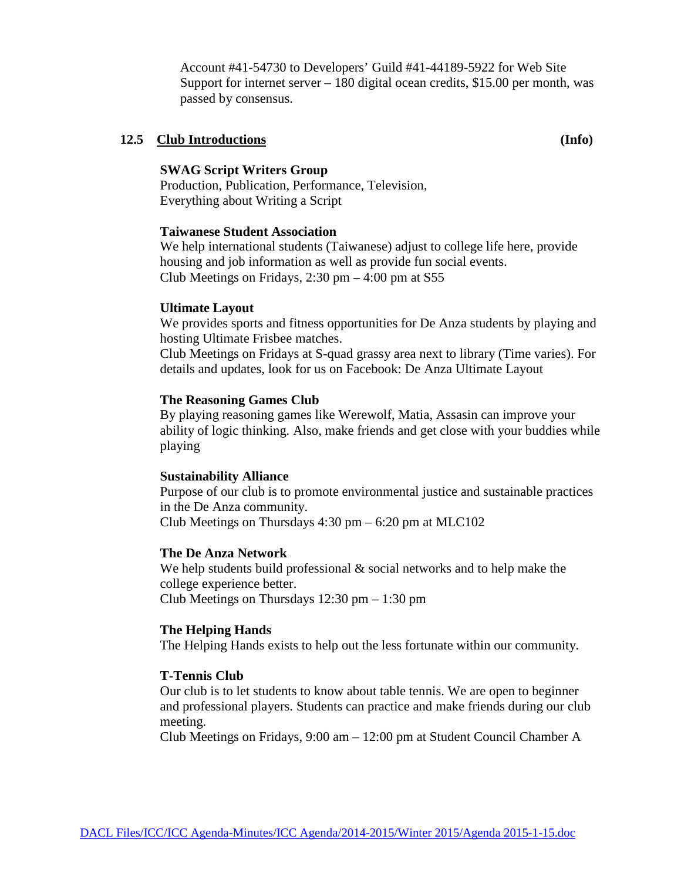Account #41-54730 to Developers' Guild #41-44189-5922 for Web Site Support for internet server – 180 digital ocean credits, \$15.00 per month, was passed by consensus.

#### **12.5 Club Introductions (Info)**

#### **SWAG Script Writers Group**

Production, Publication, Performance, Television, Everything about Writing a Script

#### **Taiwanese Student Association**

We help international students (Taiwanese) adjust to college life here, provide housing and job information as well as provide fun social events. Club Meetings on Fridays,  $2:30 \text{ pm} - 4:00 \text{ pm}$  at S55

#### **Ultimate Layout**

We provides sports and fitness opportunities for De Anza students by playing and hosting Ultimate Frisbee matches.

Club Meetings on Fridays at S-quad grassy area next to library (Time varies). For details and updates, look for us on Facebook: De Anza Ultimate Layout

#### **The Reasoning Games Club**

By playing reasoning games like Werewolf, Matia, Assasin can improve your ability of logic thinking. Also, make friends and get close with your buddies while playing

#### **Sustainability Alliance**

Purpose of our club is to promote environmental justice and sustainable practices in the De Anza community. Club Meetings on Thursdays 4:30 pm – 6:20 pm at MLC102

#### **The De Anza Network**

We help students build professional  $\&$  social networks and to help make the college experience better. Club Meetings on Thursdays 12:30 pm – 1:30 pm

#### **The Helping Hands**

The Helping Hands exists to help out the less fortunate within our community.

#### **T-Tennis Club**

Our club is to let students to know about table tennis. We are open to beginner and professional players. Students can practice and make friends during our club meeting.

Club Meetings on Fridays, 9:00 am – 12:00 pm at Student Council Chamber A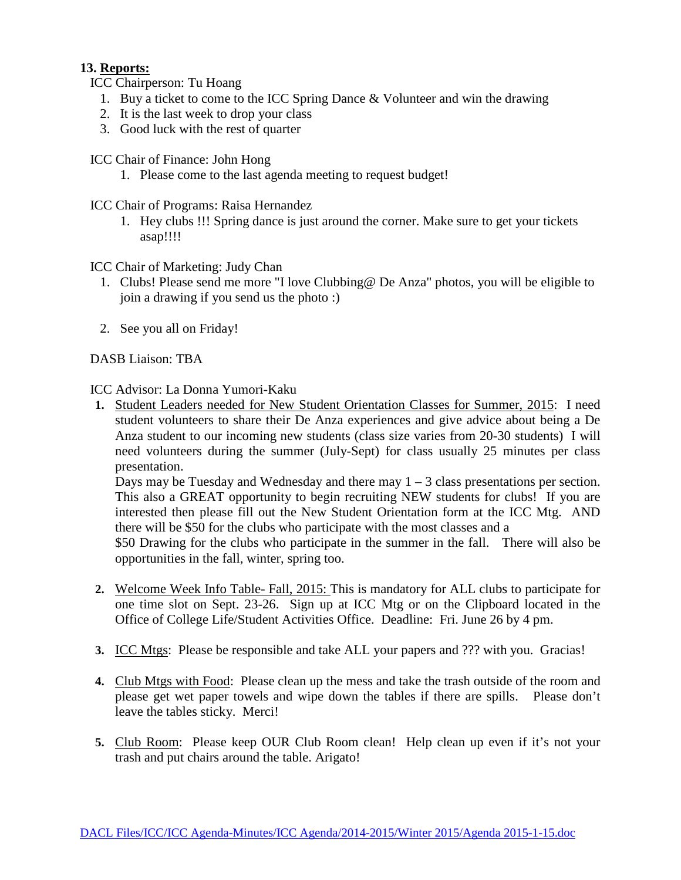# **13. Reports:**

- ICC Chairperson: Tu Hoang
	- 1. Buy a ticket to come to the ICC Spring Dance & Volunteer and win the drawing
	- 2. It is the last week to drop your class
	- 3. Good luck with the rest of quarter

ICC Chair of Finance: John Hong

- 1. Please come to the last agenda meeting to request budget!
- ICC Chair of Programs: Raisa Hernandez
	- 1. Hey clubs !!! Spring dance is just around the corner. Make sure to get your tickets asap!!!!

ICC Chair of Marketing: Judy Chan

- 1. Clubs! Please send me more "I love Clubbing@ De Anza" photos, you will be eligible to join a drawing if you send us the photo :)
- 2. See you all on Friday!

DASB Liaison: TBA

ICC Advisor: La Donna Yumori-Kaku

**1.** Student Leaders needed for New Student Orientation Classes for Summer, 2015: I need student volunteers to share their De Anza experiences and give advice about being a De Anza student to our incoming new students (class size varies from 20-30 students) I will need volunteers during the summer (July-Sept) for class usually 25 minutes per class presentation.

Days may be Tuesday and Wednesday and there may  $1 - 3$  class presentations per section. This also a GREAT opportunity to begin recruiting NEW students for clubs! If you are interested then please fill out the New Student Orientation form at the ICC Mtg. AND there will be \$50 for the clubs who participate with the most classes and a

\$50 Drawing for the clubs who participate in the summer in the fall. There will also be opportunities in the fall, winter, spring too.

- **2.** Welcome Week Info Table- Fall, 2015: This is mandatory for ALL clubs to participate for one time slot on Sept. 23-26. Sign up at ICC Mtg or on the Clipboard located in the Office of College Life/Student Activities Office. Deadline: Fri. June 26 by 4 pm.
- **3.** ICC Mtgs: Please be responsible and take ALL your papers and ??? with you. Gracias!
- **4.** Club Mtgs with Food: Please clean up the mess and take the trash outside of the room and please get wet paper towels and wipe down the tables if there are spills. Please don't leave the tables sticky. Merci!
- **5.** Club Room: Please keep OUR Club Room clean! Help clean up even if it's not your trash and put chairs around the table. Arigato!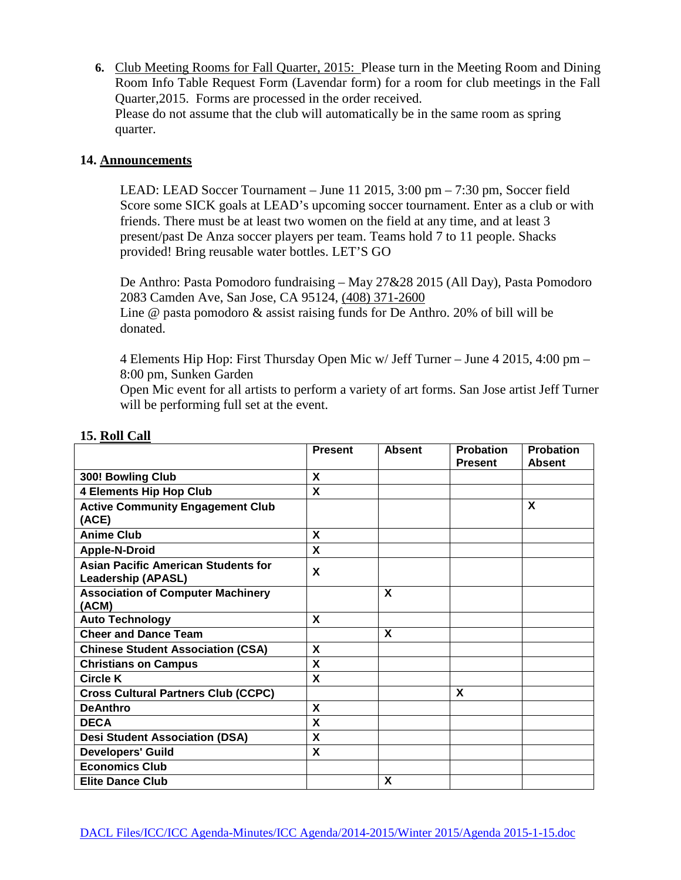**6.** Club Meeting Rooms for Fall Quarter, 2015: Please turn in the Meeting Room and Dining Room Info Table Request Form (Lavendar form) for a room for club meetings in the Fall Quarter,2015. Forms are processed in the order received. Please do not assume that the club will automatically be in the same room as spring quarter.

### **14. Announcements**

LEAD: LEAD Soccer Tournament – June 11 2015, 3:00 pm – 7:30 pm, Soccer field Score some SICK goals at LEAD's upcoming soccer tournament. Enter as a club or with friends. There must be at least two women on the field at any time, and at least 3 present/past De Anza soccer players per team. Teams hold 7 to 11 people. Shacks provided! Bring reusable water bottles. LET'S GO

De Anthro: Pasta Pomodoro fundraising – May 27&28 2015 (All Day), Pasta Pomodoro 2083 Camden Ave, San Jose, CA 95124, [\(408\) 371-2600](javascript:void(0))

Line  $\omega$  pasta pomodoro  $\&$  assist raising funds for De Anthro. 20% of bill will be donated.

4 Elements Hip Hop: First Thursday Open Mic w/ Jeff Turner – June 4 2015, 4:00 pm – 8:00 pm, Sunken Garden

Open Mic event for all artists to perform a variety of art forms. San Jose artist Jeff Turner will be performing full set at the event.

|                                                                         | <b>Present</b> | <b>Absent</b> | <b>Probation</b> | <b>Probation</b> |
|-------------------------------------------------------------------------|----------------|---------------|------------------|------------------|
|                                                                         |                |               | <b>Present</b>   | <b>Absent</b>    |
| 300! Bowling Club                                                       | X              |               |                  |                  |
| <b>4 Elements Hip Hop Club</b>                                          | X              |               |                  |                  |
| <b>Active Community Engagement Club</b><br>(ACE)                        |                |               |                  | X                |
| <b>Anime Club</b>                                                       | X              |               |                  |                  |
| <b>Apple-N-Droid</b>                                                    | X              |               |                  |                  |
| <b>Asian Pacific American Students for</b><br><b>Leadership (APASL)</b> | X              |               |                  |                  |
| <b>Association of Computer Machinery</b><br>(ACM)                       |                | X             |                  |                  |
| <b>Auto Technology</b>                                                  | $\mathbf{x}$   |               |                  |                  |
| <b>Cheer and Dance Team</b>                                             |                | X             |                  |                  |
| <b>Chinese Student Association (CSA)</b>                                | X              |               |                  |                  |
| <b>Christians on Campus</b>                                             | X              |               |                  |                  |
| <b>Circle K</b>                                                         | X              |               |                  |                  |
| <b>Cross Cultural Partners Club (CCPC)</b>                              |                |               | X                |                  |
| <b>DeAnthro</b>                                                         | X              |               |                  |                  |
| <b>DECA</b>                                                             | X              |               |                  |                  |
| <b>Desi Student Association (DSA)</b>                                   | X              |               |                  |                  |
| <b>Developers' Guild</b>                                                | X              |               |                  |                  |
| <b>Economics Club</b>                                                   |                |               |                  |                  |
| <b>Elite Dance Club</b>                                                 |                | X             |                  |                  |

#### **15. Roll Call**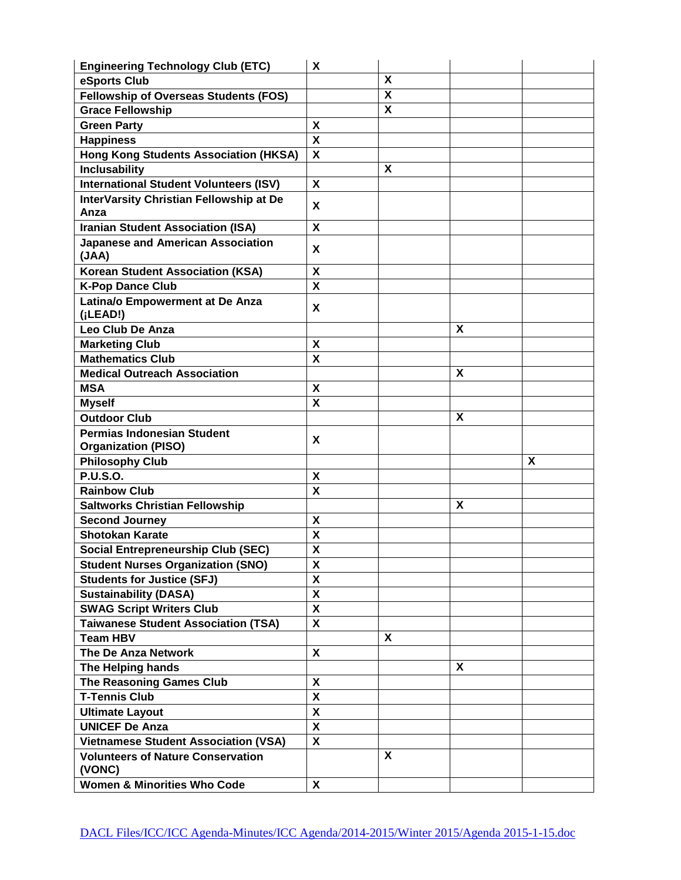| <b>Engineering Technology Club (ETC)</b>                                                     | X                         |   |   |   |
|----------------------------------------------------------------------------------------------|---------------------------|---|---|---|
| eSports Club                                                                                 |                           | X |   |   |
| <b>Fellowship of Overseas Students (FOS)</b>                                                 |                           | X |   |   |
| <b>Grace Fellowship</b>                                                                      |                           | X |   |   |
| <b>Green Party</b>                                                                           | X                         |   |   |   |
| <b>Happiness</b>                                                                             | $\mathbf{x}$              |   |   |   |
| <b>Hong Kong Students Association (HKSA)</b>                                                 | $\boldsymbol{\mathsf{X}}$ |   |   |   |
| <b>Inclusability</b>                                                                         |                           | X |   |   |
| <b>International Student Volunteers (ISV)</b>                                                | $\boldsymbol{\mathsf{X}}$ |   |   |   |
| InterVarsity Christian Fellowship at De                                                      |                           |   |   |   |
| Anza                                                                                         | X                         |   |   |   |
| <b>Iranian Student Association (ISA)</b>                                                     | X                         |   |   |   |
| <b>Japanese and American Association</b>                                                     |                           |   |   |   |
| (JAA)                                                                                        | X                         |   |   |   |
| <b>Korean Student Association (KSA)</b>                                                      | X                         |   |   |   |
| <b>K-Pop Dance Club</b>                                                                      | $\pmb{\mathsf{X}}$        |   |   |   |
| Latina/o Empowerment at De Anza                                                              |                           |   |   |   |
| (iLEAD!)                                                                                     | X                         |   |   |   |
| Leo Club De Anza                                                                             |                           |   | X |   |
| <b>Marketing Club</b>                                                                        | X                         |   |   |   |
| <b>Mathematics Club</b>                                                                      | $\overline{\mathbf{x}}$   |   |   |   |
| <b>Medical Outreach Association</b>                                                          |                           |   | X |   |
| <b>MSA</b>                                                                                   | X                         |   |   |   |
| <b>Myself</b>                                                                                | $\boldsymbol{\mathsf{X}}$ |   |   |   |
| <b>Outdoor Club</b>                                                                          |                           |   | X |   |
|                                                                                              |                           |   |   |   |
|                                                                                              |                           |   |   |   |
| <b>Permias Indonesian Student</b>                                                            | X                         |   |   |   |
| <b>Organization (PISO)</b>                                                                   |                           |   |   | X |
| <b>Philosophy Club</b>                                                                       |                           |   |   |   |
| <b>P.U.S.O.</b><br><b>Rainbow Club</b>                                                       | $\boldsymbol{\mathsf{X}}$ |   |   |   |
|                                                                                              | $\boldsymbol{\mathsf{x}}$ |   | X |   |
| <b>Saltworks Christian Fellowship</b>                                                        |                           |   |   |   |
| <b>Second Journey</b>                                                                        | X                         |   |   |   |
| <b>Shotokan Karate</b>                                                                       | X                         |   |   |   |
| <b>Social Entrepreneurship Club (SEC)</b>                                                    | $\boldsymbol{\mathsf{X}}$ |   |   |   |
| <b>Student Nurses Organization (SNO)</b>                                                     | X                         |   |   |   |
| <b>Students for Justice (SFJ)</b>                                                            | $\boldsymbol{\mathsf{X}}$ |   |   |   |
| <b>Sustainability (DASA)</b>                                                                 | $\boldsymbol{\mathsf{X}}$ |   |   |   |
| <b>SWAG Script Writers Club</b>                                                              | $\overline{\mathbf{X}}$   |   |   |   |
| <b>Taiwanese Student Association (TSA)</b>                                                   | $\boldsymbol{\mathsf{X}}$ |   |   |   |
| <b>Team HBV</b>                                                                              |                           | X |   |   |
| The De Anza Network                                                                          | $\boldsymbol{\mathsf{X}}$ |   |   |   |
| The Helping hands                                                                            |                           |   | X |   |
| The Reasoning Games Club                                                                     | $\boldsymbol{\mathsf{X}}$ |   |   |   |
| <b>T-Tennis Club</b>                                                                         | $\boldsymbol{\mathsf{X}}$ |   |   |   |
| <b>Ultimate Layout</b>                                                                       | $\boldsymbol{\mathsf{X}}$ |   |   |   |
| <b>UNICEF De Anza</b>                                                                        | $\boldsymbol{\mathsf{X}}$ |   |   |   |
| <b>Vietnamese Student Association (VSA)</b>                                                  | $\boldsymbol{\mathsf{X}}$ |   |   |   |
| <b>Volunteers of Nature Conservation</b><br>(VONC)<br><b>Women &amp; Minorities Who Code</b> | $\boldsymbol{\mathsf{X}}$ | X |   |   |